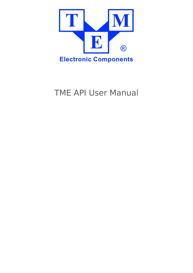

TME API User Manual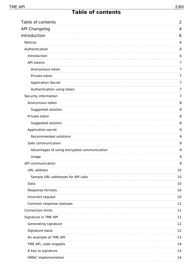<span id="page-1-0"></span>

| Table of contents                                                 | 2              |
|-------------------------------------------------------------------|----------------|
| <b>API Changelog</b>                                              | 4              |
| Introduction                                                      | 6              |
| <b>Notices</b>                                                    | 6              |
| Authentication                                                    | 6              |
| Introduction                                                      | 6              |
| API tokens                                                        | 7              |
| Anonymous token                                                   | $\overline{7}$ |
| Private token                                                     | $\overline{7}$ |
| <b>Application Secret</b>                                         | $\overline{7}$ |
| Authentication using token                                        | 7              |
| Security information                                              | $\overline{7}$ |
| Anonymous token                                                   | 8              |
| Suggested solution                                                | 8              |
| Private token                                                     | 8              |
| Suggested solution                                                | 8              |
| Application secret                                                | 9              |
| Recommended solutions                                             | 9              |
| Safe communication                                                | 9              |
| Advantages of using encrypted communication                       | 9              |
| Usage                                                             | 9              |
| API communication                                                 | 9              |
| URL address                                                       | 10             |
| Sample URL addresses for API calls<br>_________________________   | 10             |
| Data                                                              | 10             |
| Response formats                                                  | 10             |
| Incorrect request                                                 | 10             |
| -------------------------------------<br>Common response statuses | 11             |
| <b>Connection limits</b>                                          | 11             |
| Signature in TME API<br>.                                         | 11             |
| Generating signature                                              | 12             |
| Signature basis                                                   | 12             |
| An example at TME API                                             | 13             |
| TME API, code snippets                                            | 14             |
| A key to signature                                                | 14             |
| <b>HMAC</b> implementation                                        | 14             |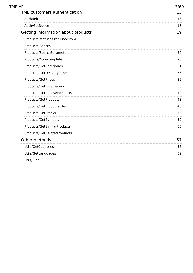| TME API                            | 3/60 |
|------------------------------------|------|
| TME customers authentication       | 15   |
| Auth/Init                          | 16   |
| Auth/GetNonce                      | 18   |
| Getting information about products | 19   |
| Products statuses returned by API  | 20   |
| Products/Search                    | 22   |
| Products/SearchParameters          | 26   |
| Products/Autocomplete              | 28   |
| Products/GetCategories             | 31   |
| Products/GetDeliveryTime           | 33   |
| <b>Products/GetPrices</b>          | 35   |
| Products/GetParameters             | 38   |
| Products/GetPricesAndStocks        | 40   |
| Products/GetProducts               | 43   |
| Products/GetProductsFiles          | 46   |
| Products/GetStocks                 | 50   |
| Products/GetSymbols                | 52   |
| Products/GetSimilarProducts        | 53   |
| Products/GetRelatedProducts        | 56   |
| Other methods                      | 57   |
| <b>Utils/GetCountries</b>          | 58   |
| Utils/GetLanguages                 | 59   |
| Utils/Ping                         | 60   |
|                                    |      |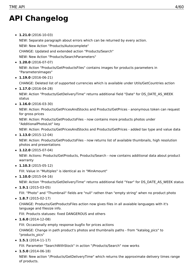# <span id="page-3-0"></span>**API Changelog**

**1.21.0** (2016-10-03)

NEW: Separate paragraph about errors which can be returned by every action.

NEW: New Action "Products/Autocomplete"

CHANGE: Updated and extended action "Products/Search"

NEW: New Action "Products/SearchParameters"

- **1.20.0** (2016-07-07) NEW: Action "Products/GetProductsFiles" contains images for products parameters in "ParametersImages"
- **1.19.0** (2016-06-21)

CHANGE: Deleted list of supported currencies which is available under Utils/GetCountries action

**1.17.0** (2016-04-28)

NEW: Action "Products/GetDeliveryTime" returns additional field "Date" for DS\_DATE\_AS\_WEEK status

**1.16.0** (2016-03-30)

NEW: Action: Products/GetPricesAndStocks and Products/GetPrices - anonymous token can request for gross prices

NEW: Action: Products/GetProductsFiles - now contains more products photos under "AdditionalPhotoList" key

NEW: Action: Products/GetPricesAndStocks and Products/GetPrices - added tax type and value data

**1.13.0** (2015-12-04)

NEW: Action: Products/GetProductsFiles - now returns list of available thumbnails, high resolution photos and presentations

**1.12.0** (2015-07-04)

NEW: Actions: Products/GetProducts, Products/Search - now contains additional data about product warranty

**1.10.3** (2015-05-12)

FIX: Value in "Multiples" is identical as in "MinAmount"

**1.10.0** (2015-04-16)

NEW: Action "Products/GetDeliveryTime" returns additional field "Year" for DS\_DATE\_AS\_WEEK status

**1.9.1** (2015-03-05)

FIX: "Photo" and "Thumbnail" fields are "null" rathen than "empty string" when no product photo

**1.8.7** (2015-02-17)

CHANGE: Products/GetProductsFiles action now gives files in all avaiable languages with it's language and filesize info.

FIX: Products statuses: fixed DANGEROUS and others

**1.6.0** (2014-12-08)

FIX: Occasionally empty response bugfix for prices actions

CHANGE: Change in path product's photos and thumbnails paths - from "katalog\_pics" to "products\_pics"

**1.5.1** (2014-11-17)

FIX: Parameter "SearchWithStock" in action "/Products/Search" now works

**1.5.0** (2014-06-18)

NEW: New action "/Products/GetDeliveryTime" which returns the approximate delivery times range of products.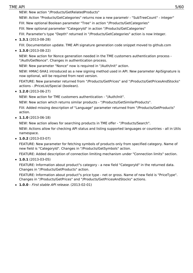#### TME API 5/60

NEW: New action "/Products/GetRelatedProducts"

NEW: Action "Products/GetCategories" returns now a new parametr - "SubTreeCount" - integer" FIX: New optional Boolean parameter "Tree" in action "/Products/GetCategories" FIX: New optional parameter "CategoryId" in action "/Products/GetCategories"

FIX: Parameter's type "Depth" returned in "/Products/GetCategories" action is now Integer.

**1.3.1** (2013-08-28)

FIX: Documentation update. TME API signature generation code snippet moved to github.com

**1.3.0** (2013-08-22)

NEW: New action for Nonce generation needed in the TME customers authentication process - "/Auth/GetNonce". Changes in authentication process.

NEW: New parameter "Nonce" now is required in "/Auth/Init" action.

NEW: HMAC-SHA1 introduced as a new signing method used in API. New parameter ApiSignature is now optional, will be required from next version.

FEATURE: New parameter returned from "/Products/GetPrices" and "/Products/GetPricesAndStocks" actions - /PriceList/Special (boolean).

**1.2.0** (2013-06-27)

NEW: New action for TME customers authentication - "/Auth/Init".

NEW: New action which returns similar products - "/Products/GetSimilarProducts".

FIX: Added missing description of "Language" parameter returned from "/Products/GetProducts" action.

**1.1.0** (2013-06-18)

NEW: New action allows for searching products in TME offer - "/Products/Search".

NEW: Actions allow for checking API status and listing supported languages or countries - all in Utils namespace.

**1.0.2** (2013-03-07)

FEATURE: New parameter for fetching symbols of products only from specified category. Name of new field is "CategoryId". Changes in "/Products/GetSymbols" action.

FEATURE: Added description of connection limiting mechanism under "Connection limits" section.

**1.0.1** (2013-03-05)

FEATURE: Information about product"s category - a new field "CategoryId" in the returned data. Changes in "/Products/GetProducts" action.

FEATURE: Information about product"s price type - net or gross. Name of new field is "PriceType". Changes in "/Products/GetPrices" and "/Products/GetPricesAndStocks" actions.

**1.0.0** - First stable API release. (2013-02-01)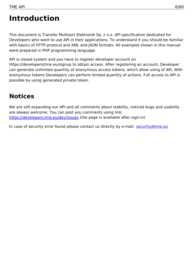# <span id="page-5-0"></span>**Introduction**

This document is Transfer Multisort Elektronik Sp. z o.o. API specification dedicated for Developers who want to use API in their applications. To understand it you should be familiar with basics of HTTP protocol and XML and JSON formats. All examples shown in this manual were prepared in PHP programming language.

API is closed system and you have to register developer account on https://developers/tme.eu/signup to obtain access. After registering an account, Developer can generate unlimited quantity of anonymous access tokens, which allow using of API. With anonymous tokens Developers can perform limited quantity of actions. Full access to API is possible by using generated private token.

### <span id="page-5-1"></span>**Notices**

We are still expanding our API and all comments about stability, noticed bugs and usability are always welcome. You can post you comments using link: <https://developers.tme.eu/dev/issues> (the page is available after sign-in)

In case of security error found please contact us directly by e-mail: [security@tme.eu](mailto:security@tme.eu)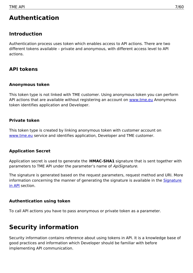### <span id="page-6-0"></span>**Authentication**

### <span id="page-6-1"></span>**Introduction**

Authentication process uses token which enables access to API actions. There are two different tokens available – private and anonymous, with different access level to API actions.

### <span id="page-6-2"></span>**API tokens**

### <span id="page-6-3"></span>**Anonymous token**

This token type is not linked with TME customer. Using anonymous token you can perform API actions that are available without registering an account on [www.tme.eu](http://www.tme.eu) Anonymous token identifies application and Developer.

### <span id="page-6-4"></span>**Private token**

This token type is created by linking anonymous token with customer account on [www.tme.eu](http://www.tme.eu) service and identifies application, Developer and TME customer.

### <span id="page-6-5"></span>**Application Secret**

Application secret is used to generate the **HMAC-SHA1** signature that is sent together with parameters to TME API under the parameter's name of ApiSignature.

The signature is generated based on the request parameters, request method and URI. More [information](#page-10-2) concerning the manner of generating the signature is available in the **Signature** in API section.

### <span id="page-6-6"></span>**Authentication using token**

To call API actions you have to pass anonymous or private token as a parameter.

### <span id="page-6-7"></span>**Security information**

Security information contains reference about using tokens in API. It is a knowledge base of good practices and information which Developer should be familiar with before implementing API communication.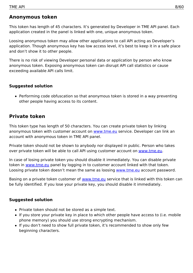### <span id="page-7-0"></span>**Anonymous token**

This token has length of 45 characters. It's generated by Developer in TME API panel. Each application created in the panel is linked with one, unique anonymous token.

Loosing anonymous token may allow other applications to call API acting as Developer's application. Though anonymous key has low access level, it's best to keep it in a safe place and don't show it to other people.

There is no risk of viewing Developer personal data or application by person who know anonymous token. Exposing anonymous token can disrupt API call statistics or cause exceeding available API calls limit.

### <span id="page-7-1"></span>**Suggested solution**

Performing code obfuscation so that anonymous token is stored in a way preventing other people having access to its content.

### <span id="page-7-2"></span>**Private token**

This token type has length of 50 characters. You can create private token by linking anonymous token with customer account on [www.tme.eu](http://www.tme.eu) service. Developer can link an account with anonymous token in TME API panel.

Private token should not be shown to anybody nor displayed in public. Person who takes over private token will be able to call API using customer account on [www.tme.eu](http://www.tme.eu).

In case of losing private token you should disable it immediately. You can disable private token in [www.tme.eu](http://www.tme.eu) panel by logging in to customer account linked with that token. Loosing private token doesn't mean the same as loosing [www.tme.eu](http://www.tme.eu) account password.

Basing on a private token customer of [www.tme.eu](http://www.tme.eu) service that is linked with this token can be fully identified. If you lose your private key, you should disable it immediately.

### <span id="page-7-3"></span>**Suggested solution**

- Private token should not be stored as a simple text.
- If you store your private key in place to which other people have access to (i.e. mobile phone memory) you should use strong encrypting mechanism.
- If you don't need to show full private token, it's recommended to show only few beginning characters.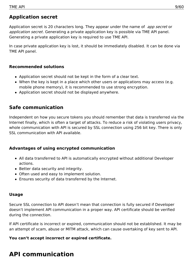### <span id="page-8-0"></span>**Application secret**

Application secret is 20 characters long. They appear under the name of app secret or application secret. Generating a private application key is possible via TME API panel. Generating a private application key is required to use TME API.

In case private application key is lost, it should be immediately disabled. It can be done via TME API panel.

### <span id="page-8-1"></span>**Recommended solutions**

- Application secret should not be kept in the form of a clear text.
- When the key is kept in a place which other users or applications may access (e.g. mobile phone memory), it is recommended to use strong encryption.
- Application secret should not be displayed anywhere.

### <span id="page-8-2"></span>**Safe communication**

Independent on how you secure tokens you should remember that data is transferred via the Internet finally, which is often a target of attacks. To reduce a risk of violating users privacy, whole communication with API is secured by SSL connection using 256 bit key. There is only SSL communication with API available.

### <span id="page-8-3"></span>**Advantages of using encrypted communication**

- All data transferred to API is automatically encrypted without additional Developer actions.
- Better data security and integrity.
- Often used and easy to implement solution.
- Ensures security of data transferred by the Internet.

### <span id="page-8-4"></span>**Usage**

Secure SSL connection to API doesn't mean that connection is fully secured if Developer doesn't implement API communication in a proper way. API certificate should be verified during the connection.

If API certificate is incorrect or expired, communication should not be established. It may be an attempt of scam, abuse or MITM attack, which can cause overtaking of key sent to API.

### **You can't accept incorrect or expired certificate.**

## <span id="page-8-5"></span>**API communication**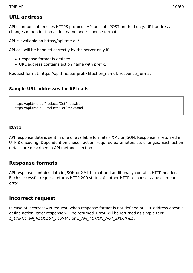### <span id="page-9-0"></span>**URL address**

API communication uses HTTPS protocol. API accepts POST method only. URL address changes dependent on action name and response format.

API is available on https://api.tme.eu/

API call will be handled correctly by the server only if:

- Response format is defined.
- URL address contains action name with prefix.

Request format: https://api.tme.eu/[prefix]/[action\_name].[response\_format]

### <span id="page-9-1"></span>**Sample URL addresses for API calls**

https://api.tme.eu/Products/GetPrices.json https://api.tme.eu/Products/GetStocks.xml

### <span id="page-9-2"></span>**Data**

API response data is sent in one of available formats – XML or JSON. Response is returned in UTF-8 encoding. Dependent on chosen action, required parameters set changes. Each action details are described in API methods section.

### <span id="page-9-3"></span>**Response formats**

API response contains data in JSON or XML format and additionally contains HTTP header. Each successful request returns HTTP 200 status. All other HTTP response statuses mean error.

### <span id="page-9-4"></span>**Incorrect request**

In case of incorrect API request, when response format is not defined or URL address doesn't define action, error response will be returned. Error will be returned as simple text, E\_UNKNOWN\_REQUEST\_FORMAT or E\_API\_ACTION\_NOT\_SPECIFIED.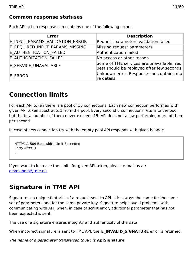### <span id="page-10-0"></span>**Common response statuses**

Each API action response can contains one of the following errors:

| <b>Error</b>                    | <b>Description</b>                                                                     |
|---------------------------------|----------------------------------------------------------------------------------------|
| E INPUT PARAMS VALIDATION ERROR | Request parameters validation failed                                                   |
| E REQUIRED INPUT PARAMS MISSING | Missing request parameters                                                             |
| E AUTHENTICATION FAILED         | Authentication failed                                                                  |
| E AUTHORIZATION FAILED          | No access or other reason                                                              |
| E SERVICE UNAVAILABLE           | Some of TME services are unavailable, req<br>uest should be replayed after few seconds |
| E ERROR                         | Unknown error. Response can contains mo<br>re details.                                 |

### <span id="page-10-1"></span>**Connection limits**

For each API token there is a pool of 15 connections. Each new connection performed with given API token substracts 1 from the pool. Every second 5 connections return to the pool but the total number of them never exceeds 15. API does not allow performing more of them per second.

In case of new connection try with the empty pool API responds with given header:

```
HTTP/1.1 509 Bandwidth Limit Exceeded
Retry-After: 1
...
```
If you want to increase the limits for given API token, please e-mail us at: [developers@tme.eu](mailto:developers@tme.eu)

### <span id="page-10-2"></span>**Signature in TME API**

Signature is a unique footprint of a request sent to API. It is always the same for the same set of parameters and for the same private key. Signature helps avoid problems with communicating with API, when, in case of script error, additional parameter that has not been expected is sent.

The use of a signature ensures integrity and authenticity of the data.

When incorrect signature is sent to TME API, the **E\_INVALID\_SIGNATURE** error is returned.

The name of <sup>a</sup> parameter transferred to API is **ApiSignature**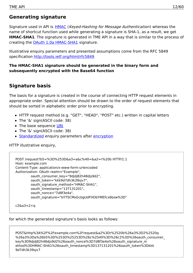### <span id="page-11-0"></span>**Generating signature**

Signature used in API is [HMAC](http://tools.ietf.org/html/rfc2104) (Keyed-Hashing for Message Authentication) whereas the name of shortcut function used while generating a signature is SHA-1, as a result, we get **HMAC-SHA1**. The signature is generated in TME API in a way that is similar to the process of creating the OAuth 1.0a [HMAC-SHA1](http://tools.ietf.org/html/rfc5849#section-3.4) signature.

Illustrative enquiry parameters and presented assumptions come from the RFC 5849 specification <http://tools.ietf.org/html/rfc5849>

### **The HMAC-SHA1 signature should be generated in the binary form and subsequently encrypted with the Base64 function**

### <span id="page-11-1"></span>**Signature basis**

The basis for a signature is created in the course of connecting HTTP request elements in appropriate order. Special attention should be drawn to the order of request elements that should be sorted in alphabetic order prior to encrypting.

- HTTP request method (e.g. "GET", "HEAD", "POST" etc.) written in capital letters
- The '&' sign(ASCII code: 38)
- The base sequence [URI](http://tools.ietf.org/html/rfc5849#section-3.4.1.2)
- The '&' sign(ASCII code: 38)
- [Standardized](http://tools.ietf.org/html/rfc5849#section-3.4.1.3.2) enquiry parameters after [encryption](http://tools.ietf.org/html/rfc5849#section-3.6)

HTTP illustrative enquiry,

```
POST /request?b5=%3D%253D&a3=a&c%40=&a2=r%20b HTTP/1.1
Host: example.com
Content-Type: application/x-www-form-urlencoded
Authorization: OAuth realm="Example",
        oauth_consumer_key="9djdj82h48djs9d2",
        oauth_token="kkk9d7dh3k39sjv7",
        oauth_signature_method="HMAC-SHA1",
        oauth_timestamp="137131201",
        oauth_nonce="7d8f3e4a",
        oauth_signature="bYT5CMsGcbgUdFHObYMEfcx6bsw%3D"
```

```
c2&a3=2+a
```
for which the generated signature's basis looks as follows:

POST&http%3A%2F%2Fexample.com%2Frequest&a2%3Dr%2520b%26a3%3D2%2520q %26a3%3Da%26b5%3D%253D%25253D%26c%2540%3D%26c2%3D%26oauth\_consumer\_ key%3D9djdj82h48djs9d2%26oauth\_nonce%3D7d8f3e4a%26oauth\_signature\_m ethod%3DHMAC-SHA1%26oauth\_timestamp%3D137131201%26oauth\_token%3Dkkk 9d7dh3k39sjv7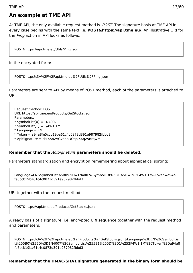### <span id="page-12-0"></span>**An example at TME API**

At TME API, the only available request method is *POST*. The signature basis at TME API in every case begins with the same text i.e. **POST&https://api.tme.eu/**. An illustrative URI for the Ping action in API looks as follows:

POST&https://api.tme.eu/Utils/Ping.json

in the encrypted form:

POST&https%3A%2F%2Fapi.tme.eu%2FUtils%2FPing.json

Parameters are sent to API by means of POST method, each of the parameters is attached to URI:

Request method: POST URI: https://api.tme.eu/Products/GetStocks.json Parameters:  $*$  SymbolList[0] = 1N4007

- $*$  SymbolList[1] = 1/4W1.1M
- $*$  Language = EN
- \* Token = a94a8fe5ccb19ba61c4c0873d391e987982fbbd3
- \* ApiSignature = tkTK5o2VGvcBbDQqolXKq25Brqw=

#### **Remember that the** ApiSignature **parameters should be deleted.**

Parameters standardization and encryption remembering about alphabetical sorting:

Language=EN&SymbolList%5B0%5D=1N4007&SymbolList%5B1%5D=1%2F4W1.1M&Token=a94a8 fe5ccb19ba61c4c0873d391e987982fbbd3

URI together with the request method:

POST&https://api.tme.eu/Products/GetStocks.json

A ready basis of a signature, i.e. encrypted URI sequence together with the request method and parameters:

POST&https%3A%2F%2Fapi.tme.eu%2FProducts%2FGetStocks.json&Language%3DEN%26SymbolLis t%255B0%255D%3D1N4007%26SymbolList%255B1%255D%3D1%252F4W1.1M%26Token%3Da94a8 fe5ccb19ba61c4c0873d391e987982fbbd3

**Remember that the HMAC-SHA1 signature generated in the binary form should be**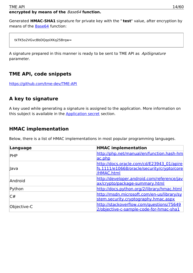### **encrypted by means of the** Base64 **function.**

Generated **HMAC-SHA1** signature for private key with the " **test**" value, after encryption by means of the [Base64](http://tools.ietf.org/html/rfc4648#section-4) function:

tkTK5o2VGvcBbDQqolXKq25Brqw=

A signature prepared in this manner is ready to be sent to TME API as ApiSignature parameter.

### <span id="page-13-0"></span>**TME API, code snippets**

<https://github.com/tme-dev/TME-API>

### <span id="page-13-1"></span>**A key to signature**

A key used while generating a signature is assigned to the application. More information on this subject is available in the **[Application](#page-6-5) secret** section.

### <span id="page-13-2"></span>**HMAC implementation**

Below, there is a list of HMAC implementations in most popular programming languages.

| Language    | <b>HMAC implementation</b>                 |
|-------------|--------------------------------------------|
| PHP         | http://php.net/manual/en/function.hash-hm  |
|             | ac.php                                     |
|             | http://docs.oracle.com/cd/E23943_01/apire  |
| Java        | fs.1111/e10668/oracle/security/crypto/core |
|             | /HMAC.html                                 |
| Android     | http://developer.android.com/reference/jav |
|             | ax/crypto/package-summary.html             |
| Python      | http://docs.python.org/2/library/hmac.html |
| C#          | http://msdn.microsoft.com/en-us/library/sy |
|             | stem.security.cryptography.hmac.aspx       |
| Objective-C | http://stackoverflow.com/questions/75649   |
|             | 2/objective-c-sample-code-for-hmac-sha1    |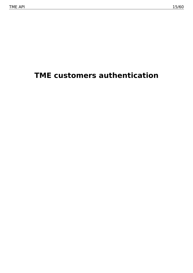# <span id="page-14-0"></span>**TME customers authentication**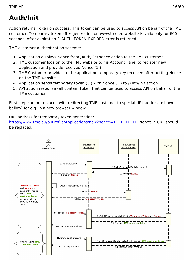# <span id="page-15-0"></span>**Auth/Init**

Action returns Token on success. This token can be used to access API on behalf of the TME customer. Temporary token after generation on www.tme.eu website is valid only for 600 seconds. After expiration E\_AUTH\_TOKEN\_EXPIRED error is returned.

TME customer authentication scheme:

- 1. Application displays Nonce from /Auth/GetNonce action to the TME customer
- 2. TME customer logs on to the TME website to his Account Panel to register new application and provide received Nonce (1.)
- 3. TME Customer provides to the application temporary key received after putting Nonce on the TME website
- 4. Application sends temporary token (3.) with Nonce (1.) to /Auth/Init action
- 5. API action response will contain Token that can be used to access API on behalf of the TME customer

First step can be replaced with redirecting TME customer to special URL address (shown bellow) for e.g. in a new browser window.

URL address for temporary token generation:

<https://www.tme.eu/pl/Profile/Applications/new?nonce=1111111111>. Nonce in URL should be replaced.

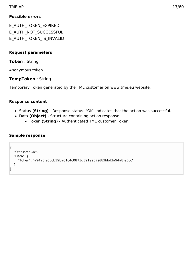### **Possible errors**

E\_AUTH\_TOKEN\_EXPIRED E\_AUTH\_NOT\_SUCCESSFUL E\_AUTH\_TOKEN\_IS\_INVALID

### **Request parameters**

**Token** : String

Anonymous token.

**TempToken** : String

Temporary Token generated by the TME customer on www.tme.eu website.

### **Response content**

- Status **(String)** Response status. "OK" indicates that the action was successful.
- Data **(Object)** Structure containing action response.
	- Token **(String)** Authenticated TME customer Token.

```
{
  "Status": "OK",
  "Data": {
    "Token": "a94a8fe5ccb19ba61c4c0873d391e987982fbbd3a94a8fe5cc"
  }
}
```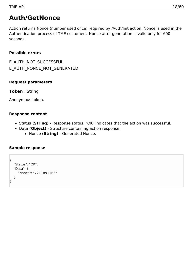## <span id="page-17-0"></span>**Auth/GetNonce**

Action returns Nonce (number used once) required by /Auth/Init action. Nonce is used in the Authentication process of TME customers. Nonce after generation is valid only for 600 seconds.

### **Possible errors**

E\_AUTH\_NOT\_SUCCESSFUL E\_AUTH\_NONCE\_NOT\_GENERATED

### **Request parameters**

**Token** : String

Anonymous token.

### **Response content**

- Status **(String)** Response status. "OK" indicates that the action was successful.
- Data **(Object)** Structure containing action response.
	- Nonce **(String)** Generated Nonce.

```
{
  "Status": "OK",
  "Data": {
     "Nonce": "7211B911B3"
  }
}
```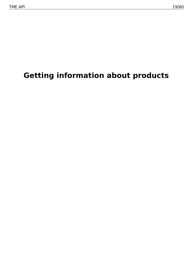# <span id="page-18-0"></span>**Getting information about products**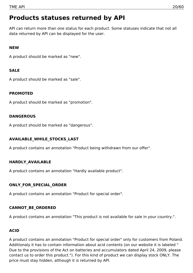## <span id="page-19-0"></span>**Products statuses returned by API**

API can return more than one status for each product. Some statuses indicate that not all data returned by API can be displayed for the user.

### **NEW**

A product should be marked as "new".

### **SALE**

A product should be marked as "sale".

### **PROMOTED**

A product should be marked as "promotion".

### **DANGEROUS**

A product should be marked as "dangerous".

### **AVAILABLE\_WHILE\_STOCKS\_LAST**

A product contains an annotation "Product being withdrawn from our offer".

### **HARDLY\_AVAILABLE**

A product contains an annotation "Hardly available product".

### **ONLY\_FOR\_SPECIAL\_ORDER**

A product contains an annotation "Product for special order".

### **CANNOT\_BE\_ORDERED**

A product contains an annotation "This product is not available for sale in your country.".

### **ACID**

A product contains an annotation "Product for special order" only for customers from Poland. Additionaly it has to contain information about acid contents (on our website it is labeled " Due to the provisions of the Act on batteries and accumulators dated April 24, 2009, please contact us to order this product."). For this kind of product we can display stock ONLY. The price must stay hidden, although it is returned by API.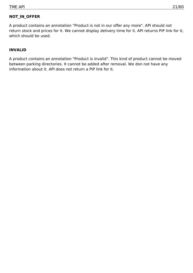### **NOT\_IN\_OFFER**

A product contains an annotation "Product is not in our offer any more". API should not return stock and prices for it. We cannot display delivery time for it. API returns PiP link for it, which should be used.

### **INVALID**

A product contains an annotation "Product is invalid". This kind of product cannot be moved between parking directories. It cannot be added after removal. We don not have any information about it. API does not return a PiP link for it.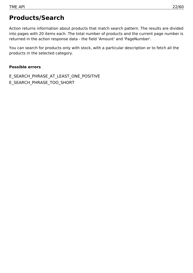### <span id="page-21-0"></span>**Products/Search**

Action returns information about products that match search pattern. The results are divided into pages with 20 items each. The total number of products and the current page number is returned in the action response data - the field 'Amount' and 'PageNumber'.

You can search for products only with stock, with a particular description or to fetch all the products in the selected category.

#### **Possible errors**

E\_SEARCH\_PHRASE\_AT\_LEAST\_ONE\_POSITIVE E\_SEARCH\_PHRASE\_TOO\_SHORT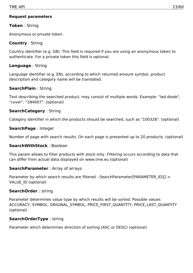### **Request parameters**

### **Token** : String

Anonymous or private token.

### **Country** : String

Country identifier (e.g. GB). This field is required if you are using an anonymous token to authenticate. For a private token this field is optional.

### **Language** : String

Language identifier (e.g. EN), according to which returned amount symbol, product description and category name will be translated.

### **SearchPlain** : String

Text describing the searched product, may consist of multiple words. Example: "led diode", "cover", "1N4007". (optional)

### **SearchCategory** : String

Category identifier in which the products should be searched, such as "100328". (optional)

### **SearchPage** : Integer

Number of page with search results. On each page is presented up to 20 products. (optional)

### **SearchWithStock** : Boolean

This param allows to filter products with stock only. Filtering occurs according to data that can differ from actual data displayed on www.tme.eu (optional)

### **SearchParameter** : Array of arrays

Parameter by which search results are filtered - SearchParameter[PARAMETER\_ID][] = VALUE\_ID (optional)

### **SearchOrder** : string

Parameter determines value type by which results will be sorted. Possible values ACCURACY, SYMBOL, ORIGINAL SYMBOL, PRICE FIRST QUANTITY, PRICE LAST QUANTITY (optional)

### **SearchOrderType** : string

Parameter which determines direction of sorting (ASC or DESC) (optional)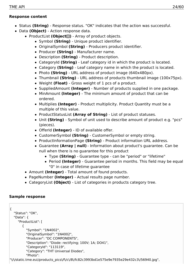### **Response content**

- Status **(String)** Response status. "OK" indicates that the action was successful.
- Data **(Object)** Action response data.
	- ProductList (Object[]) Array of product objects.
		- Symbol **(String)** Unique product identifier.
		- OriginalSymbol **(String)** Producers product identifier.
		- Producer **(String)** Manufacturer name.
		- Description **(String)** Product description.
		- CategoryId **(String)** Leaf category id in which the product is located.
		- Category **(String)** Leaf category name in which the product is located.
		- Photo **(String)** URL address of product image (640x480px).
		- Thumbnail **(String)** URL address of products thumbnail image (100x75px).
		- Weight **(Float)** Gross weight of 1 pcs of a product.
		- SuppliedAmount **(Integer)** Number of products supplied in one package.
		- MinAmount **(Integer)** The minimum amount of product that can be ordered.
		- Multiplies **(Integer)** Product multiplicity. Product Quantity must be a multiple of this value.
		- ProductStatusList **(Array of String)** List of product statuses.
		- Unit **(String)** Symbol of unit used to describe amount of product e.g. "pcs" (pieces).
		- OfferId **(Integer)** ID of available offer.
		- CustomerSymbol **(String)** CustomerSymbol or empty string.
		- ProductInformationPage **(String)** Product information URL address.
		- Guarantee **(Array | null)** Information about product's guarantee. Can be null when there is no guarantee for this product
			- Type **(String)** Guarantee type can be "period" or "lifetime"
			- Period **(Integer)** Guarantee period in months. This field may be equal "0" in case of lifetime guarantee
	- Amount **(Integer)** Total amount of found products.
	- PageNumber **(Integer)** Actual results page number.
	- CategoryList **(Object)** List of categories in products category tree.

```
{
  "Status": "OK",
  "Data": {
    "ProductList": [
       {
         "Symbol": "1N4002",
         "OriginalSymbol": "1N4002",
         "Producer": "DC COMPONENTS",
         "Description": "Diode: rectifying; 100V; 1A; DO41",
         "CategoryId": "113119",
         "Category": "THT Universal Diodes",
         "Photo":
"\/\/static.tme.eu\/products_pics\/f\/c\/8\/fc82c3993bd1e575e9e7935e29e432c3\/56940.jpg",
```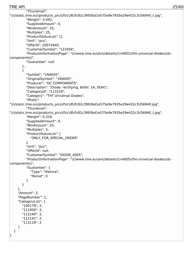```
"Thumbnail":
"\/\/static.tme.eu\/products_pics\/f\/c\/8\/fc82c3993bd1e575e9e7935e29e432c3\/56940_t.jpg",
         "Weight": 4.042,
          "SuppliedAmount": 0,
         "MinAmount": 25,
         "Multiples": 25,
         "ProductStatusList": [],
         "Unit": "pcs",
         "OfferId": 20072645,
         "CustomerSymbol": "123456",
         "ProductInformationPage": "\/\/www.tme.eu\/en\/details\/1n4002\/tht-universal-diodes\/dc-
components\/",
          "Guarantee": null
       },
       {
          "Symbol": "1N4005",
         "OriginalSymbol": "1N4005",
         "Producer": "DC COMPONENTS",
         "Description": "Diode: rectifying; 600V; 1A; DO41",
         "CategoryId": "113119",
         "Category": "THT Universal Diodes",
         "Photo":
"\/\/static.tme.eu\/products_pics\/f\/c\/8\/fc82c3993bd1e575e9e7935e29e432c3\/56940.jpg",
         "Thumbnail":
"\/\/static.tme.eu\/products_pics\/f\/c\/8\/fc82c3993bd1e575e9e7935e29e432c3\/56940_t.jpg",
         "Weight": 0.318,
         "SuppliedAmount": 0,
         "MinAmount": 25,
         "Multiples": 5,
         "ProductStatusList": [
            "ONLY_FOR_SPECIAL_ORDER"
         ],
         "Unit": "pcs",
         "OfferId": null,
         "CustomerSymbol": "DIODE_4005",
         "ProductInformationPage": "\/\/www.tme.eu\/en\/details\/1n4005\/tht-universal-diodes\/dc-
components\/",
          "Guarantee": {
            "Type": "lifetime",
            "Period": 0
          }
       }
     ],
     "Amount": 2,
     "PageNumber": 1,
     "CategoryList": {
       "100179": 2,
       "111000": 2,
       "112140": 2,
       "112141": 2,
       "113119": 2
     }
  }
}
```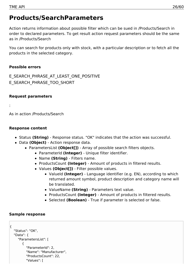### <span id="page-25-0"></span>**Products/SearchParameters**

Action returns information about possible filter which can be sued in /Products/Search in order to declared parameters. To get result action request parameters should be the same as in /Products/Search

You can search for products only with stock, with a particular description or to fetch all the products in the selected category.

### **Possible errors**

E\_SEARCH\_PHRASE\_AT\_LEAST\_ONE\_POSITIVE E\_SEARCH\_PHRASE\_TOO\_SHORT

### **Request parameters**

:

As in action /Products/Search

### **Response content**

- Status **(String)** Response status. "OK" indicates that the action was successful.
- Data **(Object)** Action response data.
	- ParametersList **(Object[])** Array of possible search filters objects.
		- ParameterId **(Integer)** Unique filter identifier.
		- Name **(String)** Filters name.
		- ProductsCount **(Integer)** Amount of products in filtered results.
		- Values **(Object[])** Filter possible values.
			- ValueId **(Integer)** Language identifier (e.g. EN), according to which returned amount symbol, product description and category name will be translated.
			- ValueName **(String)** Parameters text value.
			- ProductsCount **(Integer)** Amount of products in filtered results.
			- Selected **(Boolean)** True if parameter is selected or false.

```
{
  "Status": "OK",
  "Data": {
    "ParametersList": [
       {
         "ParameterId": 2,
         "Name": "Manufacturer",
         "ProductsCount": 22,
          "Values": [
```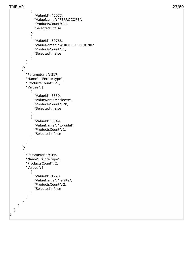{

```
"ValueId": 45077,
             "ValueName": "FERROCORE",
             "ProductsCount": 11,
             "Selected": false
           }
,
           {
             "ValueId": 59768,
             "ValueName": "WURTH ELEKTRONIK",
             "ProductsCount": 1,
             "Selected": false
           }
        ]
      }
,
      {
         "ParameterId": 817,
         "Name": "Ferrite type",
         "ProductsCount": 21,
         "Values": [
           {
             "ValueId": 3550,
             "ValueName": "sleeve",
             "ProductsCount": 20,
             "Selected": false
           }
,
           {
             "ValueId": 3549,
             "ValueName": "toroidal",
             "ProductsCount": 1,
             "Selected": false
           }
        ]
      }
,
      {
         "ParameterId": 459,
         "Name": "Core type",
         "ProductsCount": 2,
         "Values": [
           {
             "ValueId": 1720,
             "ValueName": "ferrite",
             "ProductsCount": 2,
             "Selected": false
           }
        ]
      }
    ]
  }
}TME API 27/60
```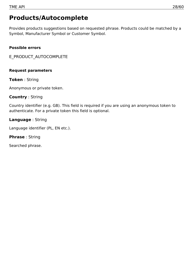### <span id="page-27-0"></span>**Products/Autocomplete**

Provides products suggestions based on requested phrase. Products could be matched by a Symbol, Manufacturer Symbol or Customer Symbol.

### **Possible errors**

E\_PRODUCT\_AUTOCOMPLETE

### **Request parameters**

**Token** : String

Anonymous or private token.

### **Country** : String

Country identifier (e.g. GB). This field is required if you are using an anonymous token to authenticate. For a private token this field is optional.

### **Language** : String

Language identifier (PL, EN etc.).

**Phrase** : String

Searched phrase.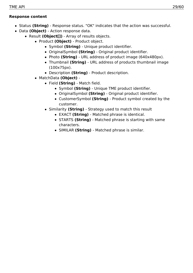### **Response content**

- Status **(String)** Response status. "OK" indicates that the action was successful.
- Data **(Object)** Action response data.
	- Result (Object[]) Array of results objects.
		- Product **(Object)** Product object.
			- Symbol **(String)** Unique product identifier.
			- OriginalSymbol **(String)** Original product identifier.
			- Photo **(String)** URL address of product image (640x480px).
			- Thumbnail **(String)** URL address of products thumbnail image (100x75px).
			- Description **(String)** Product description.
		- MatchData **(Object)**
			- Field **(String)** Match field.
				- **Symbol (String)** Unique TME product identifier.
				- OriginalSymbol **(String)** Original product identifier.
				- CustomerSymbol **(String)** Product symbol created by the customer.
			- Similarity **(String)** Strategy used to match this result
				- EXACT **(String)** Matched phrase is identical.
				- STARTS **(String)** Matched phrase is starting with same characters.
				- SIMILAR **(String)** Matched phrase is similar.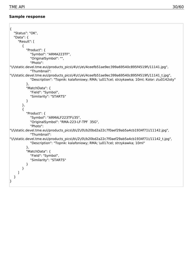$\overline{a}$ 

| $\{$                                                                                                                                                                                          |
|-----------------------------------------------------------------------------------------------------------------------------------------------------------------------------------------------|
| "Status": "OK",                                                                                                                                                                               |
| "Data": $\{$                                                                                                                                                                                  |
| "Result": [                                                                                                                                                                                   |
| $\{$                                                                                                                                                                                          |
| "Product": {                                                                                                                                                                                  |
| "Symbol": "ARMA223TF",                                                                                                                                                                        |
| "OriginalSymbol": "",                                                                                                                                                                         |
| "Photo":                                                                                                                                                                                      |
| "\/\/static.devel.tme.eu\/products_pics\/4\/c\/e\/4ceefb51ae9ec399a69540c895f4519f\/11141.jpg",<br>"Thumbnail":                                                                               |
| "\/\/static.devel.tme.eu\/products_pics\/4\/c\/e\/4ceefb51ae9ec399a69540c895f4519f\/11141_t.jpg",<br>"Description": "Topnik: kalafoniowy; RMA; \u017cel; strzykawka; 10ml; Kolor: z\u0142oty" |
| },                                                                                                                                                                                            |
| "MatchData": {                                                                                                                                                                                |
| "Field": "Symbol",                                                                                                                                                                            |
| "Similarity": "STARTS"                                                                                                                                                                        |
| }                                                                                                                                                                                             |
| },                                                                                                                                                                                            |
| $\{$                                                                                                                                                                                          |
| "Product": {                                                                                                                                                                                  |
| "Symbol": "ARMALF223TF\/35",                                                                                                                                                                  |
| "OriginalSymbol": "RMA-223-LF-TPF 35G",                                                                                                                                                       |
| "Photo":                                                                                                                                                                                      |
| "\/\/static.devel.tme.eu\/products_pics\/b\/2\/0\/b20bd2a22c7f0aef29ab5a4cb1934f71\/11142.jpg",<br>"Thumbnail":                                                                               |
| "\/\/static.devel.tme.eu\/products_pics\/b\/2\/0\/b20bd2a22c7f0aef29ab5a4cb1934f71\/11142_t.jpg",<br>"Description": "Topnik: kalafoniowy; RMA; \u017cel; strzykawka; 10ml"                    |
| },                                                                                                                                                                                            |
| "MatchData": {                                                                                                                                                                                |
| "Field": "Symbol",                                                                                                                                                                            |
| "Similarity": "STARTS"                                                                                                                                                                        |
| }                                                                                                                                                                                             |
| }                                                                                                                                                                                             |
|                                                                                                                                                                                               |
|                                                                                                                                                                                               |
|                                                                                                                                                                                               |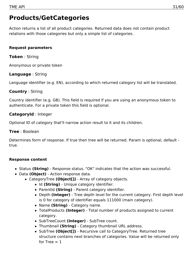### <span id="page-30-0"></span>**Products/GetCategories**

Action returns a list of all product categories. Returned data does not contain product relations with those categories but only a simple list of categories.

### **Request parameters**

### **Token** : String

Anonymous or private token

### **Language** : String

Language identifier (e.g. EN), according to which returned category list will be translated.

### **Country** : String

Country identifier (e.g. GB). This field is required if you are using an anonymous token to authenticate. For a private token this field is optional.

### **CategoryId** : Integer

Optional ID of category that'll narrow action result to it and its children.

### **Tree** : Boolean

Determines form of response. If true then tree will be returned. Param is optional, default true.

### **Response content**

- Status **(String)** Response status. "OK" indicates that the action was successful.
- Data **(Object)** Action response data.
	- CategoryTree **(Object[])** Array of category objects.
		- Id (String) Unique category identifier.
		- ParentId **(String)** Parent category identifier.
		- Depth **(Integer)** Tree depth level for the current category. First depth level is 0 for category of identifier equals 111000 (main category).
		- Name **(String)** Category name.
		- TotalProducts **(Integer)** Total number of products assigned to current category.
		- SubTreeCount **(Integer)** SubTree count.
		- Thumbnail **(String)** Category thumbnail URL address.
		- SubTree **(Object[])** Recursive call to CategoryTree. Returned tree structure contains next branches of categories. Value will be returned only for Tree  $= 1$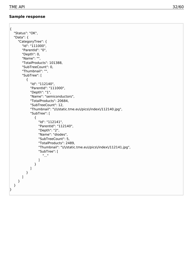```
{
  "Status": "OK",
  "Data": {
     "CategoryTree": {
        "Id": "111000",
       "ParentId": "0",
       "Depth": 0,
       "Name": "",
       "TotalProducts": 101388,
       "SubTreeCount": 0,
        "Thumbnail": "",
       "SubTree": [
          {
             "Id": "112140",
             "ParentId": "111000",
             "Depth": "1",
             "Name": "semiconductors",
             "TotalProducts": 20684,
             "SubTreeCount": 12,
             "Thumbnail": "\/\/static.tme.eu\/pics\/index\/112140.jpg",
             "SubTree": [
               {
                  "Id": "112141",
                  "ParentId": "112140",
                  "Depth": "2",
                  "Name": "diodes",
                  "SubTreeCount": 5,
                  "TotalProducts": 2489,
                  "Thumbnail": "\/\/static.tme.eu\/pics\/index\/112141.jpg",
                  "SubTree": [
                    \mathbf{u}_{11}]
               }
            ]
          }
       ]
     }
  }
}
```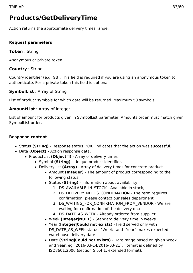## <span id="page-32-0"></span>**Products/GetDeliveryTime**

Action returns the approximate delivery times range.

### **Request parameters**

**Token** : String

Anonymous or private token

### **Country** : String

Country identifier (e.g. GB). This field is required if you are using an anonymous token to authenticate. For a private token this field is optional.

### **SymbolList** : Array of String

List of product symbols for which data will be returned. Maximum 50 symbols.

### **AmountList** : Array of Integer

List of amount for products given in SymbolList parameter. Amounts order must match given SymbolList order.

### **Response content**

- Status **(String)** Response status. "OK" indicates that the action was successful.
- Data **(Object)** Action response data.
	- ProductList (Object[]) Array of delivery times
		- Symbol **(String)** Unique product identifier.
		- DeliveryList **(Array)** Array of delivery times for concrete product
			- Amount **(Integer)** The amount of product corresponding to the following status
			- Status **(String)** Information about availability.
				- 1. DS\_AVAILABLE\_IN\_STOCK Available in stock,
				- 2. DS\_DELIVERY\_NEEDS\_CONFIRMATION The term requires confirmation, please contact our sales department.
				- 3. DS\_WAITING\_FOR\_CONFIRMATION\_FROM\_VENDOR We are waiting for confirmation of the delivery date.
				- 4. DS\_DATE\_AS\_WEEK Already ordered from supplier.
			- Week **(Integer|NULL)** Standard delivery time in weeks
			- Year **(Integer|Could not exists)** Field served only with DS\_DATE\_AS\_WEEK status. `Week` and `Year` makes expected warehouse delivery date
			- Date **(String|Could not exists)** Date range based on given Week and Year, eg `2016-03-14/2016-03-21`. Format is defined by ISO8601:2000 (section 5.5.4.1, extended format).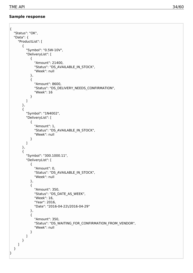```
{
  "Status": "OK",
  "Data": {
    "ProductList": [
       {
         "Symbol": "0.5W-10V",
         "DeliveryList": [
            {
              "Amount": 21400,
              "Status": "DS_AVAILABLE_IN_STOCK",
              "Week": null
            },
            {
              "Amount": 8600,
              "Status": "DS_DELIVERY_NEEDS_CONFIRMATION",
              "Week": 16
            }
         ]
       },
       {
         "Symbol": "1N4002",
         "DeliveryList": [
            {
              "Amount": 1,
              "Status": "DS_AVAILABLE_IN_STOCK",
              "Week": null
            }
         ]
       },
       {
         "Symbol": "300.1000.11",
         "DeliveryList": [
            {
              "Amount": 0,
              "Status": "DS_AVAILABLE_IN_STOCK",
              "Week": null
            },
            {
              "Amount": 350,
              "Status": "DS_DATE_AS_WEEK",
              "Week": 16,
              "Year": 2016,
              "Date": "2016-04-22\/2016-04-29"
            },
            {
              "Amount": 350,
              "Status": "DS_WAITING_FOR_CONFIRMATION_FROM_VENDOR",
              "Week": null
            }
         ]
       }
    ]
  }
}
```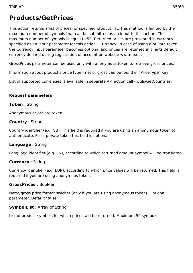### <span id="page-34-0"></span>**Products/GetPrices**

This action returns a list of prices for specified product list. This method is limited by the maximum number of symbols that can be submitted as an input to this action. The maximum number of symbols is equal to 50. Returned prices are presented in currency specified as an input parameter for this action - Currency. In case of using a private token the Currency input parameter becomes optional and prices are returned in clients default currency defined during registration of account on website ww.tme.eu.

GrossPrices parameter can be used only with anonymous token to retrieve gross prices.

Information about product's price type - net or gross can be found in "PriceType" key.

List of supported currencies is available in separate API action call - Utils/GetCountries.

#### **Request parameters**

#### **Token** : String

Anonymous or private token.

#### **Country** : String

Country identifier (e.g. GB). This field is required if you are using an anonymous token to authenticate. For a private token this field is optional.

### **Language** : String

Language identifier (e.g. EN), according to which returned amount symbol will be translated.

### **Currency** : String

Currency identifier (e.g. EUR), according to which price values will be returned. This field is required if you are using anonymous token.

#### **GrossPrices** : Boolean

Netto/gross price format swicher (only if you are using anonymous token). Optional parameter. Default "false"

#### **SymbolList** : Array of String

List of product symbols for which prices will be returned. Maximum 50 symbols.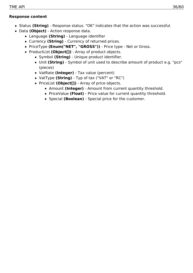### **Response content**

- Status **(String)** Response status. "OK" indicates that the action was successful.
- Data **(Object)** Action response data.
	- Language **(String)** Language identifier
	- Currency **(String)** Currency of returned prices.
	- PriceType **(Enum("NET", "GROSS"))** Price type Net or Gross.
	- ProductList (Object[]) Array of product objects.
		- Symbol **(String)** Unique product identifier.
		- Unit **(String)** Symbol of unit used to describe amount of product e.g. "pcs" (pieces)
		- VatRate **(Integer)** Tax value (percent)
		- VatType **(String)** Typ of tax ("VAT" or "RC")
		- PriceList (Object[]) Array of price objects.
			- Amount **(Integer)** Amount from current quantity threshold.
			- PriceValue **(Float)** Price value for current quantity threshold.
			- Special **(Boolean)** Special price for the customer.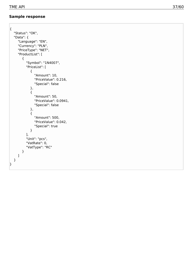```
{
    "Status": "OK",
    "Data": {
       "Language": "EN",
       "Currency": "PLN",
       "PriceType": "NET",
       "ProductList": [
          {
              "Symbol": "1N4007",
              "PriceList": [
                  {
                      "Amount": 10,
                      "PriceValue": 0.216,
                      "
S
p
e
cial": f
als
e
                  }
,
                  {
                      "Amount": 50,
                      "PriceValue": 0.0941,
                      "
S
p
e
cial": f
als
e
                  }
,
                  {
                      "Amount": 500,
                      "PriceValue": 0.042,
                      "Special": true
                  }
              ]
,
              "Unit": "pcs",
              "VatRate": 0,
              "VatType": "RC"
          }
      ]
   }
TME API<br>
Sample response<br>
"Status": "OK",<br>
"Data": {<br>
"Data": {<br>
"Language": "EM",<br>
"Currecy": "PLM",<br>
"Pricklyte": "NET",<br>
"Pricklyte": "APID",<br>
"Amount": 10,<br>
"Special": fasc<br>
{<br>
"Special": fasc<br>
}<br>
"Pricklyte": 0.0041,<br>
```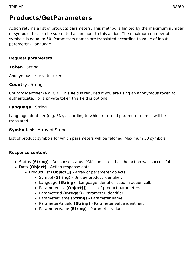### <span id="page-37-0"></span>**Products/GetParameters**

Action returns a list of products parameters. This method is limited by the maximum number of symbols that can be submitted as an input to this action. The maximum number of symbols is equal to 50. Parameters names are translated according to value of input parameter - Language.

### **Request parameters**

### **Token** : String

Anonymous or private token.

### **Country** : String

Country identifier (e.g. GB). This field is required if you are using an anonymous token to authenticate. For a private token this field is optional.

### **Language** : String

Language identifier (e.g. EN), according to which returned parameter names will be translated.

### **SymbolList** : Array of String

List of product symbols for which parameters will be fetched. Maximum 50 symbols.

### **Response content**

- Status **(String)** Response status. "OK" indicates that the action was successful.
- Data **(Object)** Action response data.
	- ProductList **(Object[])** Array of parameter objects.
		- Symbol **(String)** Unique product identifier.
		- Language **(String)** Language identifier used in action call.
		- ParameterList **(Object[])** List of product parameters.
		- ParameterId **(Integer)** Parameter identifier
		- ParameterName **(String)** Parameter name.
		- ParameterValueId **(String)** Parameter value identifier.
		- ParameterValue **(String)** Parameter value.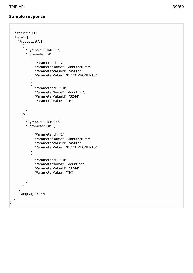```
{
   "Status": "OK",
   "Data": {
      "ProductList": [
         {
            "Symbol": "1N4005",
            "ParameterList": [
               {
                  "ParameterId": "2",
                  "ParameterName": "Manufacturer",
                  "ParameterValueId": "45089",
                  "ParameterValue": "DC COMPONENTS"
               }
,
               {
                  "ParameterId": "10",
                  "ParameterName": "Mounting",
                  "ParameterValueId": "3244",
                  "ParameterValue": "THT"
               }
           ]
         }
,
         {
            "Symbol": "1N4007",
            "ParameterList": [
               {
                  "ParameterId": "2",
                  "ParameterName": "Manufacturer",
                  "ParameterValueId": "45089",
                  "ParameterValue": "DC COMPONENTS"
               }
,
               {
                  "ParameterId": "10",
                  "ParameterName": "Mounting",
                  "ParameterValueId": "3244",
                  "ParameterValue": "THT"
               }
           ]
        }
      ]
,
      "Language": "EN"
  }
TME API<br>
Status: "OK",<br>
"Status: [CK",<br>
"Status: [CK",<br>
"Poolicit.ls": [1<br>
"Poolicit.ls": [1<br>
"Poolicit.ls": [1<br>
"Porameterials": [2]<br>
"Parameterials": "Manufacture",<br>
"Parameterials": "10, COMPONENTS"<br>
"Parameterials": "D
```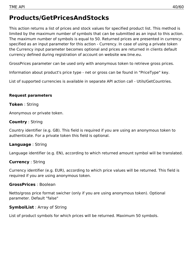## <span id="page-39-0"></span>**Products/GetPricesAndStocks**

This action returns a list of prices and stock values for specified product list. This method is limited by the maximum number of symbols that can be submitted as an input to this action. The maximum number of symbols is equal to 50. Returned prices are presented in currency specified as an input parameter for this action - Currency. In case of using a private token the Currency input parameter becomes optional and prices are returned in clients default currency defined during registration of account on website ww.tme.eu.

GrossPrices parameter can be used only with anonymous token to retrieve gross prices.

Information about product's price type - net or gross can be found in "PriceType" key.

List of supported currencies is available in separate API action call - Utils/GetCountries.

### **Request parameters**

### **Token** : String

Anonymous or private token.

### **Country** : String

Country identifier (e.g. GB). This field is required if you are using an anonymous token to authenticate. For a private token this field is optional.

### **Language** : String

Language identifier (e.g. EN), according to which returned amount symbol will be translated.

### **Currency** : String

Currency identifier (e.g. EUR), according to which price values will be returned. This field is required if you are using anonymous token.

### **GrossPrices** : Boolean

Netto/gross price format swicher (only if you are using anonymous token). Optional parameter. Default "false"

### **SymbolList** : Array of String

List of product symbols for which prices will be returned. Maximum 50 symbols.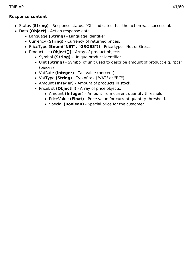### **Response content**

- Status **(String)** Response status. "OK" indicates that the action was successful.
- Data **(Object)** Action response data.
	- Language **(String)** Language identifier
	- Currency **(String)** Currency of returned prices.
	- PriceType **(Enum("NET", "GROSS"))** Price type Net or Gross.
	- ProductList (Object[]) Array of product objects.
		- Symbol **(String)** Unique product identifier.
		- Unit **(String)** Symbol of unit used to describe amount of product e.g. "pcs" (pieces)
		- VatRate **(Integer)** Tax value (percent)
		- VatType **(String)** Typ of tax ("VAT" or "RC")
		- Amount **(Integer)** Amount of products in stock.
		- PriceList (Object[]) Array of price objects.
			- Amount **(Integer)** Amount from current quantity threshold.
			- PriceValue **(Float)** Price value for current quantity threshold.
			- Special **(Boolean)** Special price for the customer.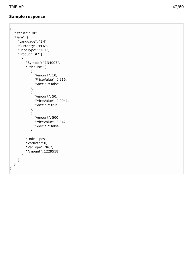```
{
    "Status": "OK",
    "Data": {
         "Language": "EN",
         "Currency": "PLN",
         "PriceType": "NET",
         "ProductList": [
             {
                 "Symbol": "1N4007",
                 "PriceList": [
                     {
                          "Amount": 10,
                          "PriceValue": 0.216,
                          "
S
p
e
cial": f
als
e
                      }
,
                     {
                          "Amount": 50,
                          "PriceValue": 0.0941,
                          "Special": true
                      }
,
                     {
                          "Amount": 500,
                          "PriceValue": 0.042,
                          "
S
p
e
cial": f
als
e
                     }
                 ]
,
                 "Unit": "pcs",
                 "VatRate": 0,
                 "VatType": "RC",
                 "Amount": 1229518
            }
       ]
    }
TME API 42/60<br>
Sample response<br>
\left\{\n\begin{array}{ll}\n\text{Sisulus}^n \cdot \text{COC}, \\
\text{Sisulus}^n \cdot \text{COC}^n & \text{FEM}, \\
\text{Coionsy}^n \cdot \text{FEM}, \\
\text{Coionsy}^n \cdot \text{FEM}, \\
\text{Coionsy}^n \cdot \text{FEM}, \\
\text{Coionsy}^n \cdot \text{FEM}, \\
\text{Coionsy}^n \cdot \text{FEM}, \\
\text{Coionsy}^n \cdot \text{Cidt}^n & \text{Coionsy}^n \cdot \text
```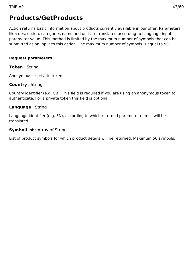### <span id="page-42-0"></span>**Products/GetProducts**

Action returns basic information about products currently available in our offer. Parameters like: description, categories name and unit are translated according to Language input parameter value. This method is limited by the maximum number of symbols that can be submitted as an input to this action. The maximum number of symbols is equal to 50.

### **Request parameters**

#### **Token** : String

Anonymous or private token.

### **Country** : String

Country identifier (e.g. GB). This field is required if you are using an anonymous token to authenticate. For a private token this field is optional.

### **Language** : String

Language identifier (e.g. EN), according to which returned paremeter names will be translated.

### **SymbolList** : Array of String

List of product symbols for which product details will be returned. Maximum 50 symbols.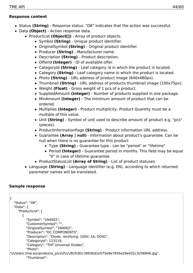### **Response content**

- Status **(String)** Response status. "OK" indicates that the action was successful.
- Data **(Object)** Action response data.
	- ProductList (Object[]) Array of product objects.
		- Symbol **(String)** Unique product identifier.
		- OriginalSymbol **(String)** Original product identifier.
		- Producer **(String)** Manufacturer name.
		- Description **(String)** Product description.
		- OfferId **(Integer)** ID of available offer.
		- CategoryId **(String)** Leaf category id in which the product is located.
		- Category **(String)** Leaf category name in which the product is located.
		- Photo **(String)** URL address of product image (640x480px).
		- Thumbnail **(String)** URL address of products thumbnail image (100x75px).
		- Weight **(Float)** Gross weight of 1 pcs of a product.
		- SuppliedAmount **(Integer)** Number of products supplied in one package.
		- MinAmount **(Integer)** The minimum amount of product that can be ordered.
		- Multiplies **(Integer)** Product multiplicity. Product Quantity must be a multiple of this value.
		- Unit **(String)** Symbol of unit used to describe amount of product e.g. "pcs" (pieces).
		- ProductInformationPage **(String)** Product information URL address.
		- Guarantee **(Array | null)** Information about product's guarantee. Can be null when there is no guarantee for this product
			- Type **(String)** Guarantee type can be "period" or "lifetime"
			- Period **(Integer)** Guarantee period in months. This field may be equal "0" in case of lifetime guarantee
		- ProductStatusList **(Array of String)** List of product statuses.
	- Language **(String)** Language identifier (e.g. EN), according to which returned paremeter names will be translated.

```
{
  "Status": "OK",
  "Data": {
    "ProductList": [
       {
         "Symbol": "1N4002",
          "CustomerSymbol": "",
         "OriginalSymbol": "1N4002",
         "Producer": "DC COMPONENTS",
         "Description": "Diode: rectifying; 100V; 1A; DO41",
         "CategoryId": 113119,
         "Category": "THT Universal Diodes",
         "Photo":
"\/\/static.tme.eu\/products_pics\/f\/c\/8\/fc82c3993bd1e575e9e7935e29e432c3\/56940.jpg",
         "Thumbnail":
```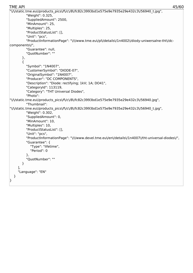```
"\/\/static.tme.eu\/products_pics\/f\/c\/8\/fc82c3993bd1e575e9e7935e29e432c3\/56940_t.jpg",
         "Weight": 0.325,
         "SuppliedAmount": 2500,
         "MinAmount": 25,
         "Multiples": 25,
         "ProductStatusList": [],
         "Unit": "pcs",
         "ProductInformationPage": "\/\/www.tme.eu\/pl\/details\/1n4002\/diody-uniwersalne-tht\/dc-
components\/",
         "Guarantee": null,
         "QuotNumber": ""
       },
       {
         "Symbol": "1N4007",
         "CustomerSymbol": "DIODE-07",
         "OriginalSymbol": "1N4007",
         "Producer": "DC COMPONENTS",
         "Description": "Diode: rectifying; 1kV; 1A; DO41",
         "CategoryId": 113119,
         "Category": "THT Universal Diodes",
         "Photo":
"\/\/static.tme.eu\/products_pics\/f\/c\/8\/fc82c3993bd1e575e9e7935e29e432c3\/56940.jpg",
         "Thumbnail":
"\/\/static.tme.eu\/products_pics\/f\/c\/8\/fc82c3993bd1e575e9e7935e29e432c3\/56940_t.jpg",
         "Weight": 0.302,
         "SuppliedAmount": 0,
         "MinAmount": 10,
         "Multiples": 10,
         "ProductStatusList": [],
         "Unit": "pcs",
         "ProductInformationPage": "\/\/www.devel.tme.eu\/en\/details\/1n4007\/tht-universal-diodes\/",
         "Guarantee": {
           "Type": "lifetime",
           "Period": 0
         },
         "QuotNumber": ""
       }
    ],
    "Language": "EN"
  }
}
TME API 45/60
```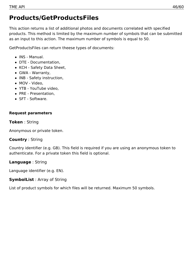## <span id="page-45-0"></span>**Products/GetProductsFiles**

This action returns a list of additional photos and documents correlated with specified products. This method is limited by the maximum number of symbols that can be submitted as an input to this action. The maximum number of symbols is equal to 50.

GetProductsFiles can return theese types of documents:

- INS Manual.
- DTE Documentation,
- KCH Safety Data Sheet,
- GWA Warranty,
- INB Safety instruction,
- MOV Video,
- YTB YouTube video,
- PRE Presentation,
- SFT Software.

### **Request parameters**

### **Token** : String

Anonymous or private token.

### **Country** : String

Country identifier (e.g. GB). This field is required if you are using an anonymous token to authenticate. For a private token this field is optional.

### **Language** : String

Language identifier (e.g. EN).

### **SymbolList** : Array of String

List of product symbols for which files will be returned. Maximum 50 symbols.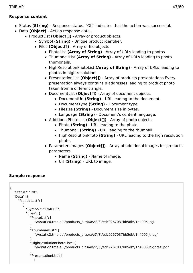### **Response content**

- Status **(String)** Response status. "OK" indicates that the action was successful.
- Data **(Object)** Action response data.
	- ProductList (Object[]) Array of product objects.
		- Symbol **(String)** Unique product identifier.
		- Files **(Object[])** Array of file objects.
			- PhotoList **(Array of String)** Array of URLs leading to photos.
			- ThumbnailList **(Array of String)** Array of URLs leading to photo thumbnails.
			- HighResolutionPhotoList **(Array of String)** Array of URLs leading to photos in high resolution.
			- PresentationList (Object[]) Array of products presentations Every presentation always contains 8 addresses leading to product photo taken from a different angle.
			- DocumentList **(Object[])** Array of document objects.
				- DocumentUrl **(String)** URL leading to the document.
				- DocumentType **(String)** Document type.
				- Filesize **(String)** Document size in bytes.
				- Language **(String)** Document's content language.
			- AdditionalPhotoList **(Object[])** Array of photo objects.
				- Photo **(String)** URL leading to the photo.
				- Thumbnail **(String)** URL leading to the thumnail.
				- HighResolutionPhoto **(String)** URL leading to the high resolution photo.
			- ParametersImages **(Object[])** Array of additional images for products parameters.
				- Name **(String)** Name of image.
				- Url **(String)** URL to image.

```
{
  "Status": "OK",
  "Data": {
    "ProductList": [
       {
          "Symbol": "1N4005",
          "Files": {
            "PhotoList": [
               "\/\/static0.tme.eu\/products_pics\/a\/9\/3\/edc9267037bb5db\/1n4005.jpg"
            ],
            "ThumbnailList": [
               "\/\/static2.tme.eu\/products_pics\/a\/9\/3\/edc9267037bb5db\/1n4005_t.jpg"
            ],
            "HighResolutionPhotoList": [
               "\/\/static2.tme.eu\/products_pics\/a\/9\/3\/edc9267037bb5db\/1n4005_highres.jpg"
            ],
            "PresentationList": [
               \Gamma
```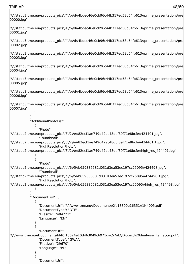"\/\/static3.tme.eu\/products\_pics\/4\/b\/d\/4bdec46e0cb96c44b317ed58b64fb613\/prime\_presentation\/pres 00000.jpg",

"\/\/static3.tme.eu\/products\_pics\/4\/b\/d\/4bdec46e0cb96c44b317ed58b64fb613\/prime\_presentation\/pre 00001.jpg",

"\/\/static3.tme.eu\/products\_pics\/4\/b\/d\/4bdec46e0cb96c44b317ed58b64fb613\/prime\_presentation\/pre 00002.jpg",

"\/\/static3.tme.eu\/products\_pics\/4\/b\/d\/4bdec46e0cb96c44b317ed58b64fb613\/prime\_presentation\/pres 00003.jpg",

"\/\/static3.tme.eu\/products\_pics\/4\/b\/d\/4bdec46e0cb96c44b317ed58b64fb613\/prime\_presentation\/pres 00004.jpg",

"\/\/static3.tme.eu\/products\_pics\/4\/b\/d\/4bdec46e0cb96c44b317ed58b64fb613\/prime\_presentation\/pre 00005.jpg",

"\/\/static3.tme.eu\/products\_pics\/4\/b\/d\/4bdec46e0cb96c44b317ed58b64fb613\/prime\_presentation\/pres 00006.jpg",

"\/\/static3.tme.eu\/products\_pics\/4\/b\/d\/4bdec46e0cb96c44b317ed58b64fb613\/prime\_presentation\/pre 00007.jpg"

```
]
            ],
            "AdditionalPhotoList": [
              {
                 "Photo":
"\/\/static2.tme.eu\/products_pics\/8\/2\/e\/82ecf1ae749d42ac48dbf89f71e8bcfe\/424401.jpg",
                 "Thumbnail":
"\/\/static2.tme.eu\/products_pics\/8\/2\/e\/82ecf1ae749d42ac48dbf89f71e8bcfe\/424401_t.jpg",
                 "HighResolutionPhoto":
"\/\/static2.tme.eu\/products_pics\/8\/2\/e\/82ecf1ae749d42ac48dbf89f71e8bcfe\/high_res_424401.jpg"
              },
              {
                 "Photo":
"\/\/static2.tme.eu\/products_pics\/b\/6\/5\/b659336581d031d3ea53ec197cc25095\/424498.jpg",
                 "Thumbnail":
"\/\/static2.tme.eu\/products_pics\/b\/6\/5\/b659336581d031d3ea53ec197cc25095\/424498_t.jpg",
                 "HighResolutionPhoto":
"\/\/static2.tme.eu\/products_pics\/b\/6\/5\/b659336581d031d3ea53ec197cc25095\/high_res_424498.jpg"
              }
            ],
            "DocumentList": [
              {
                 "DocumentUrl": "\/\/www.tme.eu\/Document\/0fb18890e16351\/1N4005.pdf",
                 "DocumentType": "DTE",
                 "Filesize": "484221",
                 "Language": "EN"
              },
              {
                 "DocumentUrl":
"\/\/www.tme.eu\/Document\/bf40f15624e10d463049c6971dac57ab\/Diotec%20dual-use_itar_eccn.pdf",
                 "DocumentType": "GWA",
                 "Filesize": "29670",
                 "Language": "PL"
              },
              {
                 "DocumentUrl":
```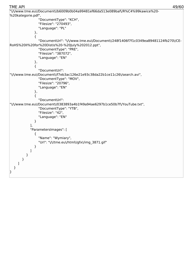```
"\/\/www.tme.eu\/Document\/b6009b0b04a99481ef66da513e089baf\/R%C4%99kawice%20-
%20kategorie.pdf",
               "DocumentType": "KCH",
               "Filesize": "270493",
               "Language": "PL"
            },
             {
               "DocumentUrl": "\/\/www.tme.eu\/Document\/248f1406f7f1c0349ea89481124fb270\/CE-
RoHS%20II%20for%20Distis%20-%20July%202012.ppt",
               "DocumentType": "PRE",
               "Filesize": "387072",
               "Language": "EN"
            },
             {
               "DocumentUrl":
"\/\/www.tme.eu\/Document\/f7eb3ac126e21e93c38da22b1ce11c26\/search.avi",
               "DocumentType": "MOV",
               "Filesize": "20796",
               "Language": "EN"
            },
             {
               "DocumentUrl":
"\/\/www.tme.eu\/Document\/0383893a4b1f49a94ae6297b1ce50b7f\/YouTube.txt",
               "DocumentType": "YTB",
               "Filesize": "42",
               "Language": "EN"
            }
          ],
          "ParametersImages": [
             {
               "Name": "Wymiary",
               "Url": "\/\/tme.eu\/html\/gfx\/img_3871.gif"
            }
          ]
        }
      }
    ]
  }
}
TME API 49/60
```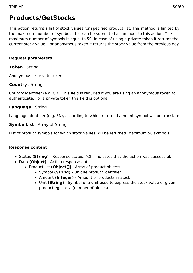### <span id="page-49-0"></span>**Products/GetStocks**

This action returns a list of stock values for specified product list. This method is limited by the maximum number of symbols that can be submitted as an input to this action. The maximum number of symbols is equal to 50. In case of using a private token it returns the current stock value. For anonymous token it returns the stock value from the previous day.

#### **Request parameters**

#### **Token** : String

Anonymous or private token.

### **Country** : String

Country identifier (e.g. GB). This field is required if you are using an anonymous token to authenticate. For a private token this field is optional.

### **Language** : String

Language identifier (e.g. EN), according to which returned amount symbol will be translated.

### **SymbolList** : Array of String

List of product symbols for which stock values will be returned. Maximum 50 symbols.

#### **Response content**

- Status **(String)** Response status. "OK" indicates that the action was successful.
- Data **(Object)** Action response data.
	- ProductList **(Object[])** Array of product objects.
		- Symbol **(String)** Unique product identifier.
		- Amount **(Integer)** Amount of products in stock.
		- Unit **(String)** Symbol of a unit used to express the stock value of given product eg. "pcs" (number of pieces).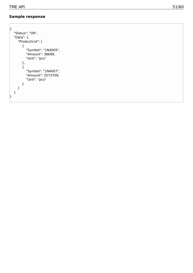```
{
    "Status": "OK",
    "Data": {
        "ProductList": [
            {
                "Symbol": "1N4005",
                "Amount": 38699,
                "Unit": "pcs"
            }
,
            {
                "Symbol": "1N4007",
                "Amount": 2573709,
                "Unit": "pcs"
            }
       ]
   }
|<br>| Sample response<br>|-<br>| Status": "OK",<br>| "Data": {<br>| "ProductList": {<br>| "ProductList": {<br>| "Symbol": "1N4005",<br>| "Symbol": "1N4007",<br>| ,<br>| "Symbol": "1N4007",<br>| "Amount": 2573709,<br>| "Linit": "pcs"<br>| "Symbol": "1N4007",<br>|
```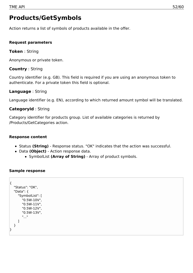### <span id="page-51-0"></span>**Products/GetSymbols**

Action returns a list of symbols of products available in the offer.

### **Request parameters**

### **Token** : String

Anonymous or private token.

### **Country** : String

Country identifier (e.g. GB). This field is required if you are using an anonymous token to authenticate. For a private token this field is optional.

### **Language** : String

Language identifier (e.g. EN), according to which returned amount symbol will be translated.

### **CategoryId** : String

Category identifier for products group. List of available categories is returned by /Products/GetCategories action.

### **Response content**

- Status **(String)** Response status. "OK" indicates that the action was successful.
- Data **(Object)** Action response data.
	- SymbolList **(Array of String)** Array of product symbols.

```
{
  "Status": "OK",
  "Data": {
     "SymbolList": [
       "0.5W-10V",
       "0.5W-11V",
       "0.5W-12V",
       "0.5W-13V",
       "..."
     ]
  }
}
```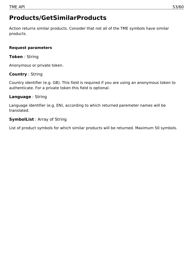## <span id="page-52-0"></span>**Products/GetSimilarProducts**

Action returns similar products. Consider that not all of the TME symbols have similar products.

### **Request parameters**

### **Token** : String

Anonymous or private token.

### **Country** : String

Country identifier (e.g. GB). This field is required if you are using an anonymous token to authenticate. For a private token this field is optional.

### **Language** : String

Language identifier (e.g. EN), according to which returned paremeter names will be translated.

### **SymbolList** : Array of String

List of product symbols for which similar products will be returned. Maximum 50 symbols.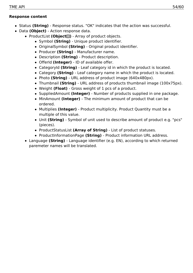### **Response content**

- Status **(String)** Response status. "OK" indicates that the action was successful.
- Data **(Object)** Action response data.
	- ProductList (Object[]) Array of product objects.
		- Symbol **(String)** Unique product identifier.
		- OriginalSymbol **(String)** Original product identifier.
		- Producer **(String)** Manufacturer name.
		- Description **(String)** Product description.
		- OfferId **(Integer)** ID of available offer.
		- CategoryId **(String)** Leaf category id in which the product is located.
		- Category **(String)** Leaf category name in which the product is located.
		- Photo **(String)** URL address of product image (640x480px).
		- Thumbnail **(String)** URL address of products thumbnail image (100x75px).
		- Weight **(Float)** Gross weight of 1 pcs of a product.
		- SuppliedAmount **(Integer)** Number of products supplied in one package.
		- MinAmount **(Integer)** The minimum amount of product that can be ordered.
		- Multiplies **(Integer)** Product multiplicity. Product Quantity must be a multiple of this value.
		- Unit **(String)** Symbol of unit used to describe amount of product e.g. "pcs" (pieces).
		- ProductStatusList **(Array of String)** List of product statuses.
		- ProductInformationPage **(String)** Product information URL address.
	- Language **(String)** Language identifier (e.g. EN), according to which returned paremeter names will be translated.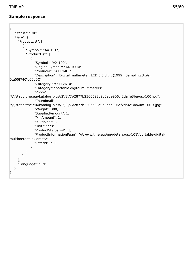**Contract Contract** 

| $\{$<br>"Status": "OK",                                                                                   |
|-----------------------------------------------------------------------------------------------------------|
| "Data": $\{$                                                                                              |
| "ProductList": [                                                                                          |
| $\{$                                                                                                      |
| "Symbol": "AX-101",                                                                                       |
| "ProductList": [                                                                                          |
| {                                                                                                         |
| "Symbol": "AX-100",<br>"OriginalSymbol": "AX-100M",                                                       |
| "Producer": "AXIOMET",                                                                                    |
| "Description": "Digital multimeter; LCD 3,5 digit (1999); Sampling:3x\/s;                                 |
| 0\u00f740\u00b0C",                                                                                        |
| "CategoryId": "112610",                                                                                   |
| "Category": "portable digital multimeters",                                                               |
| "Photo":                                                                                                  |
| "\/\/static.tme.eu\/katalog_pics\/2\/8\/7\/2877b2306598c9d0ede906cf2da4e3ba\/ax-100.jpg",<br>"Thumbnail": |
| "\/\/static.tme.eu\/katalog_pics\/2\/8\/7\/2877b2306598c9d0ede906cf2da4e3ba\/ax-100_t.jpg",               |
| "Weight": 300,                                                                                            |
| "SuppliedAmount": 1,                                                                                      |
| "MinAmount": 1,                                                                                           |
| "Multiples": 1,                                                                                           |
| "Unit": "pcs",<br>"ProductStatusList": [],                                                                |
| "ProductInformationPage": "\/\/www.tme.eu\/en\/details\/ax-101\/portable-digital-                         |
| multimeters\/axiomet\/",                                                                                  |
| "OfferId": null                                                                                           |
| ł                                                                                                         |
|                                                                                                           |
| }                                                                                                         |
| J,<br>"Language": "EN"                                                                                    |
| }                                                                                                         |
| }                                                                                                         |
|                                                                                                           |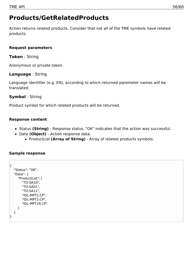## <span id="page-55-0"></span>**Products/GetRelatedProducts**

Action returns related products. Consider that not all of the TME symbols have related products.

### **Request parameters**

**Token** : String

Anonymous or private token.

### **Language** : String

Language identifier (e.g. EN), according to which returned paremeter names will be translated.

### **Symbol** : String

Product symbol for which related products will be returned.

### **Response content**

- Status **(String)** Response status. "OK" indicates that the action was successful.
- Data **(Object)** Action response data.
	- ProductList **(Array of String)** Array of related products symbols.

```
{
  "Status": "OK",
  "Data": {
     "ProductList": [
       "TO-SA10",
       "TO-SA01",
       "TO-SA11",
       "IDL-MPT2.CP",
       "IDL-MPT3.CP",
       "IDL-MPT1R.CP"
    ]
  }
}
```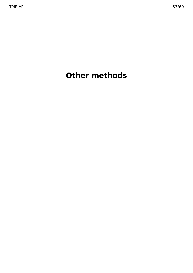# <span id="page-56-0"></span>**Other methods**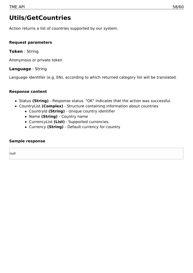## <span id="page-57-0"></span>**Utils/GetCountries**

Action returns a list of countries supported by our system.

### **Request parameters**

**Token** : String

Anonymous or private token

**Language** : String

Language identifier (e.g. EN), according to which returned category list will be translated.

### **Response content**

- Status **(String)** Response status. "OK" indicates that the action was successful.
- CountryList **(Complex)** Structure containing information about countries
	- CountryId **(String)** Unique country identifier
	- Name **(String)** Country name
	- CurrencyList **(List)** Supported currencies.
	- Currency **(String)** Default currency for country

### **Sample response**

null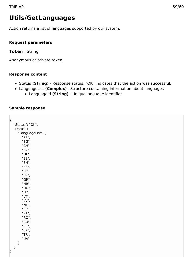### <span id="page-58-0"></span>**Utils/GetLanguages**

Action returns a list of languages supported by our system.

### **Request parameters**

**Token** : String

Anonymous or private token

### **Response content**

- Status **(String)** Response status. "OK" indicates that the action was successful.
- LanguageList **(Complex)** Structure containing information about languages
	- LanguageId **(String)** Unique language identifier

| $\{$ |                                |  |  |  |
|------|--------------------------------|--|--|--|
|      | "Status": "OK",                |  |  |  |
|      | "Data": {                      |  |  |  |
|      | "LanguageList": [              |  |  |  |
|      | "AT",                          |  |  |  |
|      | "BG",                          |  |  |  |
|      | "CH",                          |  |  |  |
|      | "CZ",                          |  |  |  |
|      | "DE",                          |  |  |  |
|      | "EE",                          |  |  |  |
|      | "EN",                          |  |  |  |
|      | "ES",                          |  |  |  |
|      | "FI",<br>"FR",                 |  |  |  |
|      | "GR",                          |  |  |  |
|      | "HR",                          |  |  |  |
|      | "HU",                          |  |  |  |
|      | "IT",                          |  |  |  |
|      | "LT",                          |  |  |  |
|      | "LV",                          |  |  |  |
|      | "NL",                          |  |  |  |
|      | "PL",                          |  |  |  |
|      | "PT",                          |  |  |  |
|      | "RO",                          |  |  |  |
|      | "RU",                          |  |  |  |
|      | "SE",                          |  |  |  |
|      | "SK",                          |  |  |  |
|      | "TR",<br>"UA"                  |  |  |  |
|      | $\begin{array}{c} \end{array}$ |  |  |  |
|      | $\}$                           |  |  |  |
| }    |                                |  |  |  |
|      |                                |  |  |  |